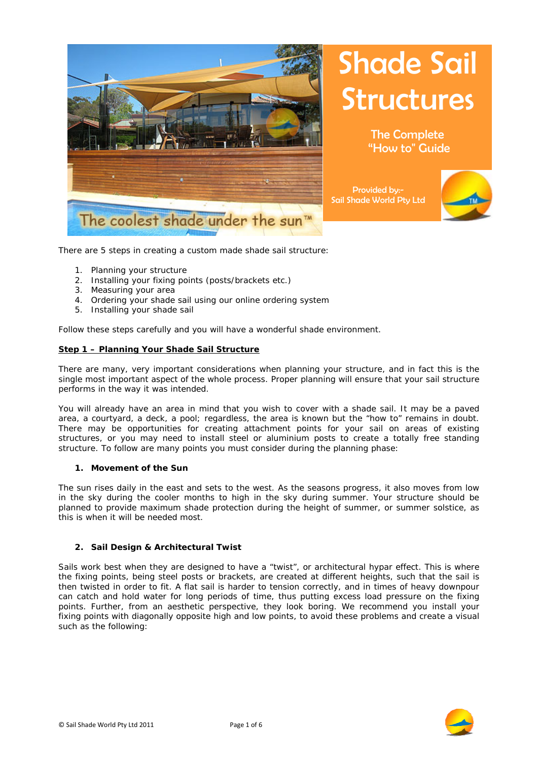

# **Shade Sail Structures**

The Complete "How to" Guide

Provided by:- Sail Shade World Pty Ltd



There are 5 steps in creating a custom made shade sail structure:

- 1. Planning your structure
- 2. Installing your fixing points (posts/brackets etc.)
- 3. Measuring your area
- 4. Ordering your shade sail using our online ordering system
- 5. Installing your shade sail

Follow these steps carefully and you will have a wonderful shade environment.

#### **Step 1 – Planning Your Shade Sail Structure**

There are many, very important considerations when planning your structure, and in fact this is the single most important aspect of the whole process. Proper planning will ensure that your sail structure performs in the way it was intended.

You will already have an area in mind that you wish to cover with a shade sail. It may be a paved area, a courtyard, a deck, a pool; regardless, the area is known but the "how to" remains in doubt. There may be opportunities for creating attachment points for your sail on areas of existing structures, or you may need to install steel or aluminium posts to create a totally free standing structure. To follow are many points you must consider during the planning phase:

#### **1. Movement of the Sun**

The sun rises daily in the east and sets to the west. As the seasons progress, it also moves from low in the sky during the cooler months to high in the sky during summer. Your structure should be planned to provide maximum shade protection during the height of summer, or summer solstice, as this is when it will be needed most.

#### **2. Sail Design & Architectural Twist**

Sails work best when they are designed to have a "twist", or architectural hypar effect. This is where the fixing points, being steel posts or brackets, are created at different heights, such that the sail is then twisted in order to fit. A flat sail is harder to tension correctly, and in times of heavy downpour can catch and hold water for long periods of time, thus putting excess load pressure on the fixing points. Further, from an aesthetic perspective, they look boring. We recommend you install your fixing points with diagonally opposite high and low points, to avoid these problems and create a visual such as the following:

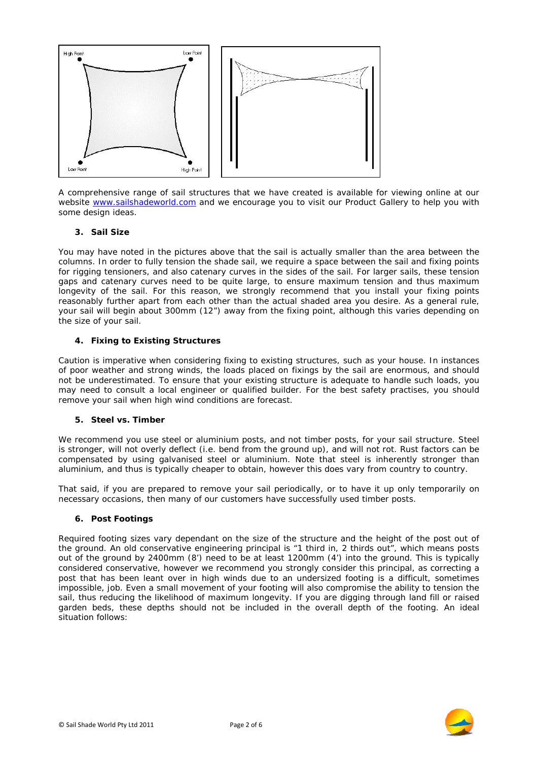

A comprehensive range of sail structures that we have created is available for viewing online at our website www.sailshadeworld.com and we encourage you to visit our Product Gallery to help you with some design ideas.

# **3. Sail Size**

You may have noted in the pictures above that the sail is actually smaller than the area between the columns. In order to fully tension the shade sail, we require a space between the sail and fixing points for rigging tensioners, and also catenary curves in the sides of the sail. For larger sails, these tension gaps and catenary curves need to be quite large, to ensure maximum tension and thus maximum longevity of the sail. For this reason, we strongly recommend that you install your fixing points reasonably further apart from each other than the actual shaded area you desire. As a general rule, your sail will begin about 300mm (12") away from the fixing point, although this varies depending on the size of your sail.

# **4. Fixing to Existing Structures**

Caution is imperative when considering fixing to existing structures, such as your house. In instances of poor weather and strong winds, the loads placed on fixings by the sail are enormous, and should not be underestimated. To ensure that your existing structure is adequate to handle such loads, you may need to consult a local engineer or qualified builder. For the best safety practises, you should remove your sail when high wind conditions are forecast.

# **5. Steel vs. Timber**

We recommend you use steel or aluminium posts, and not timber posts, for your sail structure. Steel is stronger, will not overly deflect (i.e. bend from the ground up), and will not rot. Rust factors can be compensated by using galvanised steel or aluminium. Note that steel is inherently stronger than aluminium, and thus is typically cheaper to obtain, however this does vary from country to country.

That said, if you are prepared to remove your sail periodically, or to have it up only temporarily on necessary occasions, then many of our customers have successfully used timber posts.

# **6. Post Footings**

Required footing sizes vary dependant on the size of the structure and the height of the post out of the ground. An old conservative engineering principal is "1 third in, 2 thirds out", which means posts out of the ground by 2400mm (8') need to be at least 1200mm (4') into the ground. This is typically considered conservative, however we recommend you strongly consider this principal, as correcting a post that has been leant over in high winds due to an undersized footing is a difficult, sometimes impossible, job. Even a small movement of your footing will also compromise the ability to tension the sail, thus reducing the likelihood of maximum longevity. If you are digging through land fill or raised garden beds, these depths should not be included in the overall depth of the footing. An ideal situation follows:

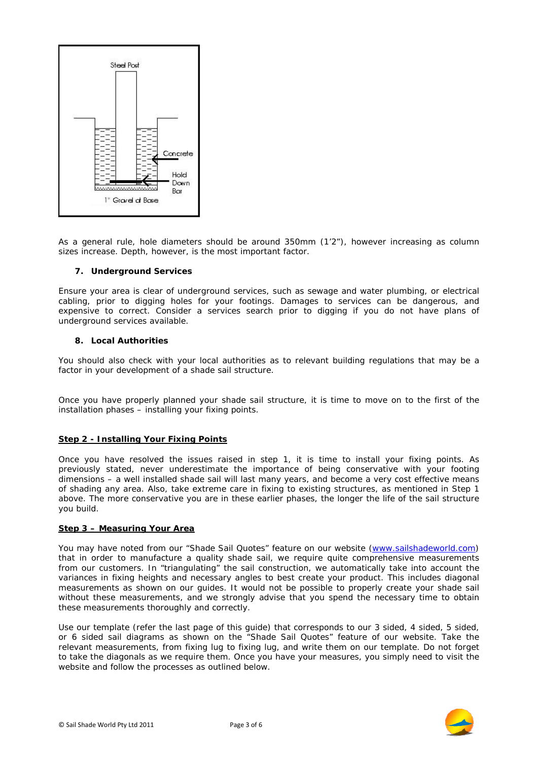

As a general rule, hole diameters should be around 350mm (1'2"), however increasing as column sizes increase. Depth, however, is the most important factor.

# **7. Underground Services**

Ensure your area is clear of underground services, such as sewage and water plumbing, or electrical cabling, prior to digging holes for your footings. Damages to services can be dangerous, and expensive to correct. Consider a services search prior to digging if you do not have plans of underground services available.

# **8. Local Authorities**

You should also check with your local authorities as to relevant building regulations that may be a factor in your development of a shade sail structure.

Once you have properly planned your shade sail structure, it is time to move on to the first of the installation phases – installing your fixing points.

# **Step 2 - Installing Your Fixing Points**

Once you have resolved the issues raised in step 1, it is time to install your fixing points. As previously stated, never underestimate the importance of being conservative with your footing dimensions – a well installed shade sail will last many years, and become a very cost effective means of shading any area. Also, take extreme care in fixing to existing structures, as mentioned in Step 1 above. The more conservative you are in these earlier phases, the longer the life of the sail structure you build.

# **Step 3 – Measuring Your Area**

You may have noted from our "Shade Sail Quotes" feature on our website (www.sailshadeworld.com) that in order to manufacture a quality shade sail, we require quite comprehensive measurements from our customers. In "triangulating" the sail construction, we automatically take into account the variances in fixing heights and necessary angles to best create your product. This includes diagonal measurements as shown on our guides. It would not be possible to properly create your shade sail without these measurements, and we strongly advise that you spend the necessary time to obtain these measurements thoroughly and correctly.

Use our template (refer the last page of this guide) that corresponds to our 3 sided, 4 sided, 5 sided, or 6 sided sail diagrams as shown on the "Shade Sail Quotes" feature of our website. Take the relevant measurements, from fixing lug to fixing lug, and write them on our template. Do not forget to take the diagonals as we require them. Once you have your measures, you simply need to visit the website and follow the processes as outlined below.

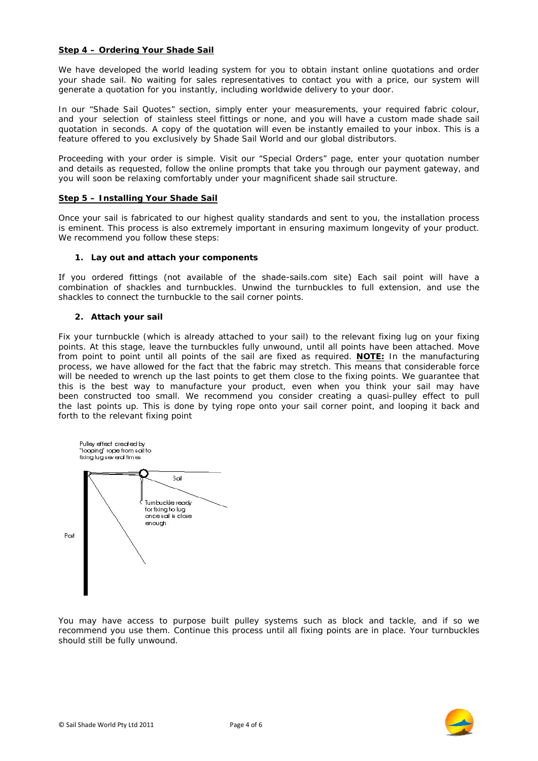# **Step 4 – Ordering Your Shade Sail**

We have developed the world leading system for you to obtain instant online quotations and order your shade sail. No waiting for sales representatives to contact you with a price, our system will generate a quotation for you instantly, including worldwide delivery to your door.

In our "Shade Sail Quotes" section, simply enter your measurements, your required fabric colour, and your selection of stainless steel fittings or none, and you will have a custom made shade sail quotation in seconds. A copy of the quotation will even be instantly emailed to your inbox. This is a feature offered to you exclusively by Shade Sail World and our global distributors.

Proceeding with your order is simple. Visit our "Special Orders" page, enter your quotation number and details as requested, follow the online prompts that take you through our payment gateway, and you will soon be relaxing comfortably under your magnificent shade sail structure.

# **Step 5 – Installing Your Shade Sail**

Once your sail is fabricated to our highest quality standards and sent to you, the installation process is eminent. This process is also extremely important in ensuring maximum longevity of your product. We recommend you follow these steps:

#### **1. Lay out and attach your components**

If you ordered fittings (not available of the shade-sails.com site) Each sail point will have a combination of shackles and turnbuckles. Unwind the turnbuckles to full extension, and use the shackles to connect the turnbuckle to the sail corner points.

#### **2. Attach your sail**

Fix your turnbuckle (which is already attached to your sail) to the relevant fixing lug on your fixing points. At this stage, leave the turnbuckles fully unwound, until all points have been attached. Move from point to point until all points of the sail are fixed as required. *NOTE:* In the manufacturing process, we have allowed for the fact that the fabric may stretch. This means that considerable force will be needed to wrench up the last points to get them close to the fixing points. We guarantee that this is the best way to manufacture your product, even when you think your sail may have been constructed too small. We recommend you consider creating a quasi-pulley effect to pull the last points up. This is done by tying rope onto your sail corner point, and looping it back and forth to the relevant fixing point



You may have access to purpose built pulley systems such as block and tackle, and if so we recommend you use them. Continue this process until all fixing points are in place. Your turnbuckles should still be fully unwound.

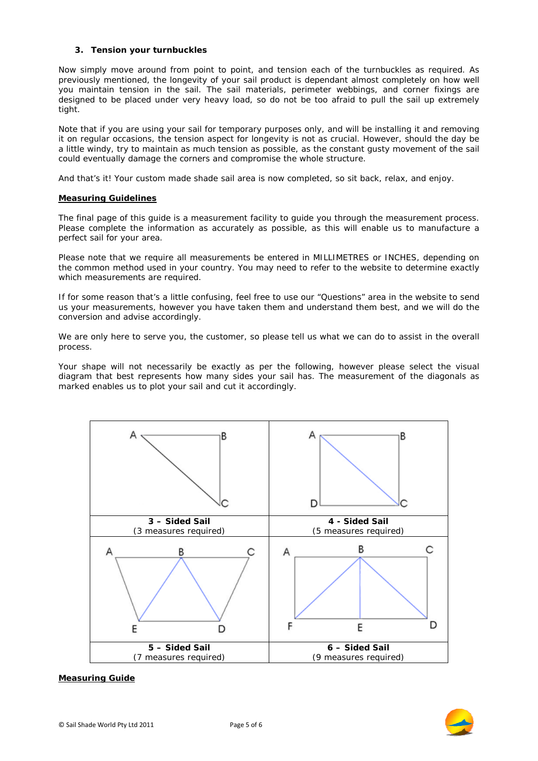# **3. Tension your turnbuckles**

Now simply move around from point to point, and tension each of the turnbuckles as required. As previously mentioned, the longevity of your sail product is dependant almost completely on how well you maintain tension in the sail. The sail materials, perimeter webbings, and corner fixings are designed to be placed under very heavy load, so do not be too afraid to pull the sail up extremely tight.

Note that if you are using your sail for temporary purposes only, and will be installing it and removing it on regular occasions, the tension aspect for longevity is not as crucial. However, should the day be a little windy, try to maintain as much tension as possible, as the constant gusty movement of the sail could eventually damage the corners and compromise the whole structure.

And that's it! Your custom made shade sail area is now completed, so sit back, relax, and enjoy.

# **Measuring Guidelines**

The final page of this guide is a measurement facility to guide you through the measurement process. Please complete the information as accurately as possible, as this will enable us to manufacture a perfect sail for your area.

Please note that we require all measurements be entered in MILLIMETRES or INCHES, depending on the common method used in your country. You may need to refer to the website to determine exactly which measurements are required.

If for some reason that's a little confusing, feel free to use our "Questions" area in the website to send us your measurements, however you have taken them and understand them best, and we will do the conversion and advise accordingly.

We are only here to serve you, the customer, so please tell us what we can do to assist in the overall process.

Your shape will not necessarily be exactly as per the following, however please select the visual diagram that best represents how many sides your sail has. The measurement of the diagonals as marked enables us to plot your sail and cut it accordingly.



# **Measuring Guide**